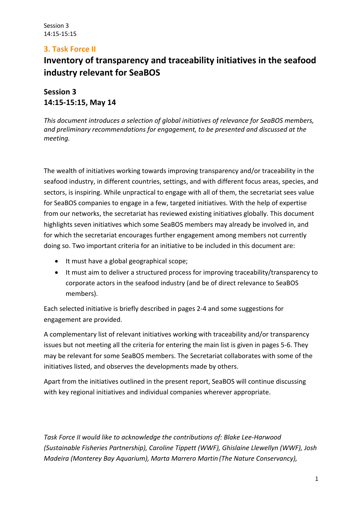# **3. Task Force II**

# **Inventory of transparency and traceability initiatives in the seafood industry relevant for SeaBOS**

**Session 3 14:15-15:15, May 14**

*This document introduces a selection of global initiatives of relevance for SeaBOS members, and preliminary recommendations for engagement, to be presented and discussed at the meeting.*

The wealth of initiatives working towards improving transparency and/or traceability in the seafood industry, in different countries, settings, and with different focus areas, species, and sectors, is inspiring. While unpractical to engage with all of them, the secretariat sees value for SeaBOS companies to engage in a few, targeted initiatives. With the help of expertise from our networks, the secretariat has reviewed existing initiatives globally. This document highlights seven initiatives which some SeaBOS members may already be involved in, and for which the secretariat encourages further engagement among members not currently doing so. Two important criteria for an initiative to be included in this document are:

- It must have a global geographical scope;
- It must aim to deliver a structured process for improving traceability/transparency to corporate actors in the seafood industry (and be of direct relevance to SeaBOS members).

Each selected initiative is briefly described in pages 2-4 and some suggestions for engagement are provided.

A complementary list of relevant initiatives working with traceability and/or transparency issues but not meeting all the criteria for entering the main list is given in pages 5-6. They may be relevant for some SeaBOS members. The Secretariat collaborates with some of the initiatives listed, and observes the developments made by others.

Apart from the initiatives outlined in the present report, SeaBOS will continue discussing with key regional initiatives and individual companies wherever appropriate.

*Task Force II would like to acknowledge the contributions of: Blake Lee-Harwood (Sustainable Fisheries Partnership), Caroline Tippett (WWF), Ghislaine Llewellyn (WWF), Josh Madeira (Monterey Bay Aquarium), Marta Marrero Martin (The Nature Conservancy),*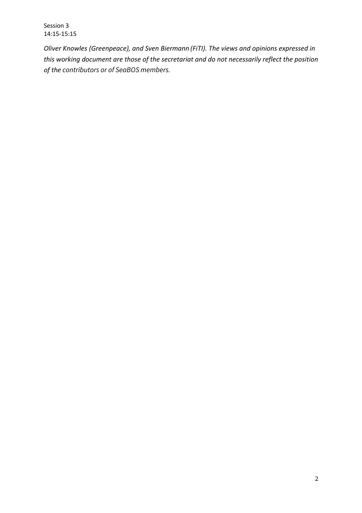Session 3 14:15-15:15

*Oliver Knowles (Greenpeace), and Sven Biermann (FiTI). The views and opinions expressed in this working document are those of the secretariat and do not necessarily reflect the position of the contributors or of SeaBOS members.*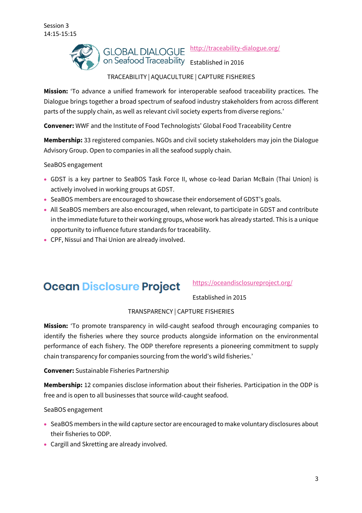

# TRACEABILITY | AQUACULTURE | CAPTURE FISHERIES

**Mission:** 'To advance a unified framework for interoperable seafood traceability practices. The Dialogue brings together a broad spectrum of seafood industry stakeholders from across different parts of the supply chain, as well as relevant civil society experts from diverse regions.'

**Convener:** WWF and the Institute of Food Technologists' Global Food Traceability Centre

**Membership:** 33 registered companies. NGOs and civil society stakeholders may join the Dialogue Advisory Group. Open to companies in all the seafood supply chain.

SeaBOS engagement

- GDST is a key partner to SeaBOS Task Force II, whose co-lead Darian McBain (Thai Union) is actively involved in working groups at GDST.
- SeaBOS members are encouraged to showcase their endorsement of GDST's goals.
- All SeaBOS members are also encouraged, when relevant, to participate in GDST and contribute in the immediate future to their working groups, whose work has already started. This is a unique opportunity to influence future standards for traceability.
- CPF, Nissui and Thai Union are already involved.

# **Ocean Disclosure Project**

https://oceandisclosureproject.org/

Established in 2015

#### TRANSPARENCY | CAPTURE FISHERIES

**Mission:** 'To promote transparency in wild-caught seafood through encouraging companies to identify the fisheries where they source products alongside information on the environmental performance of each fishery. The ODP therefore represents a pioneering commitment to supply chain transparency for companies sourcing from the world's wild fisheries.'

**Convener:** Sustainable Fisheries Partnership

**Membership:** 12 companies disclose information about their fisheries. Participation in the ODP is free and is open to all businesses that source wild-caught seafood.

SeaBOS engagement

- SeaBOS members in the wild capture sector are encouraged to make voluntary disclosures about their fisheries to ODP.
- Cargill and Skretting are already involved.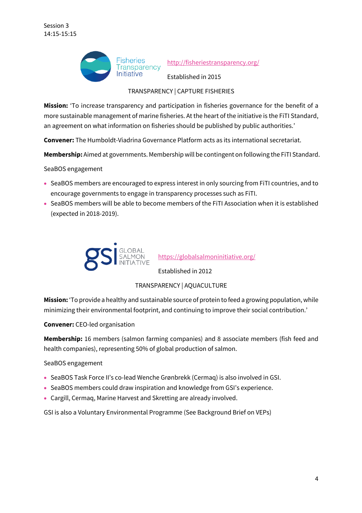

### TRANSPARENCY | CAPTURE FISHERIES

**Mission:** 'To increase transparency and participation in fisheries governance for the benefit of a more sustainable management of marine fisheries. At the heart of the initiative is the FiTI Standard, an agreement on what information on fisheries should be published by public authorities.'

**Convener:** The Humboldt-Viadrina Governance Platform acts as its international secretariat.

**Membership:** Aimed at governments. Membership will be contingent on following the FiTI Standard.

SeaBOS engagement

- SeaBOS members are encouraged to express interest in only sourcing from FiTI countries, and to encourage governments to engage in transparency processes such as FiTI.
- SeaBOS members will be able to become members of the FiTI Association when it is established (expected in 2018-2019).



https://globalsalmoninitiative.org/

Established in 2012

TRANSPARENCY | AQUACULTURE

**Mission:** 'To provide a healthy and sustainable source of protein to feed a growing population, while minimizing their environmental footprint, and continuing to improve their social contribution.'

**Convener:** CEO-led organisation

**Membership:** 16 members (salmon farming companies) and 8 associate members (fish feed and health companies), representing 50% of global production of salmon.

SeaBOS engagement

- SeaBOS Task Force II's co-lead Wenche Grønbrekk (Cermaq) is also involved in GSI.
- SeaBOS members could draw inspiration and knowledge from GSI's experience.
- Cargill, Cermaq, Marine Harvest and Skretting are already involved.

GSI is also a Voluntary Environmental Programme (See Background Brief on VEPs)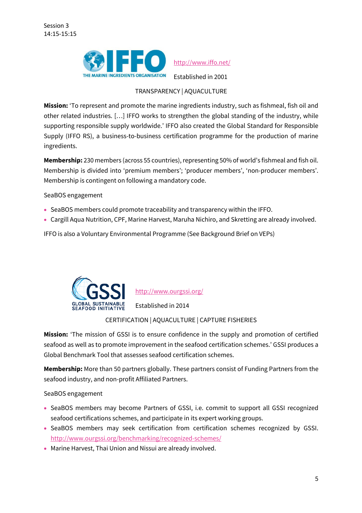

http://www.iffo.net/

Established in 2001

#### TRANSPARENCY | AQUACULTURE

**Mission:** 'To represent and promote the marine ingredients industry, such as fishmeal, fish oil and other related industries. […] IFFO works to strengthen the global standing of the industry, while supporting responsible supply worldwide.' IFFO also created the Global Standard for Responsible Supply (IFFO RS), a business-to-business certification programme for the production of marine ingredients.

**Membership:** 230 members (across 55 countries), representing 50% of world's fishmeal and fish oil. Membership is divided into 'premium members'; 'producer members', 'non-producer members'. Membership is contingent on following a mandatory code.

SeaBOS engagement

- SeaBOS members could promote traceability and transparency within the IFFO.
- Cargill Aqua Nutrition, CPF, Marine Harvest, Maruha Nichiro, and Skretting are already involved.

IFFO is also a Voluntary Environmental Programme (See Background Brief on VEPs)



#### CERTIFICATION | AQUACULTURE | CAPTURE FISHERIES

**Mission:** 'The mission of GSSI is to ensure confidence in the supply and promotion of certified seafood as well as to promote improvement in the seafood certification schemes.' GSSI produces a Global Benchmark Tool that assesses seafood certification schemes.

**Membership:** More than 50 partners globally. These partners consist of Funding Partners from the seafood industry, and non-profit Affiliated Partners.

SeaBOS engagement

- SeaBOS members may become Partners of GSSI, i.e. commit to support all GSSI recognized seafood certifications schemes, and participate in its expert working groups.
- SeaBOS members may seek certification from certification schemes recognized by GSSI. http://www.ourgssi.org/benchmarking/recognized-schemes/
- Marine Harvest, Thai Union and Nissui are already involved.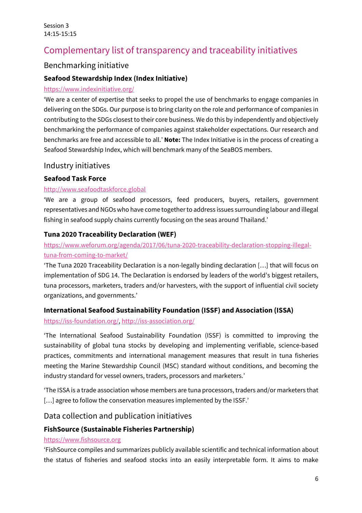# Complementary list of transparency and traceability initiatives

# Benchmarking initiative

#### **Seafood Stewardship Index (Index Initiative)**

#### https://www.indexinitiative.org/

'We are a center of expertise that seeks to propel the use of benchmarks to engage companies in delivering on the SDGs. Our purpose is to bring clarity on the role and performance of companies in contributing to the SDGs closest to their core business. We do this by independently and objectively benchmarking the performance of companies against stakeholder expectations. Our research and benchmarks are free and accessible to all.' **Note:** The Index Initiative is in the process of creating a Seafood Stewardship Index, which will benchmark many of the SeaBOS members.

#### Industry initiatives

#### **Seafood Task Force**

#### http://www.seafoodtaskforce.global

'We are a group of seafood processors, feed producers, buyers, retailers, government representatives and NGOs who have come together to address issues surrounding labour and illegal fishing in seafood supply chains currently focusing on the seas around Thailand.'

#### **Tuna 2020 Traceability Declaration (WEF)**

# https://www.weforum.org/agenda/2017/06/tuna-2020-traceability-declaration-stopping-illegaltuna-from-coming-to-market/

'The Tuna 2020 Traceability Declaration is a non-legally binding declaration […] that will focus on implementation of SDG 14. The Declaration is endorsed by leaders of the world's biggest retailers, tuna processors, marketers, traders and/or harvesters, with the support of influential civil society organizations, and governments.'

#### **International Seafood Sustainability Foundation (ISSF) and Association (ISSA)**

https://iss-foundation.org/, http://iss-association.org/

'The International Seafood Sustainability Foundation (ISSF) is committed to improving the sustainability of global tuna stocks by developing and implementing verifiable, science-based practices, commitments and international management measures that result in tuna fisheries meeting the Marine Stewardship Council (MSC) standard without conditions, and becoming the industry standard for vessel owners, traders, processors and marketers.'

'The ISSA is a trade association whose members are tuna processors, traders and/or marketers that [...] agree to follow the conservation measures implemented by the ISSF.'

# Data collection and publication initiatives

#### **FishSource (Sustainable Fisheries Partnership)**

#### https://www.fishsource.org

'FishSource compiles and summarizes publicly available scientific and technical information about the status of fisheries and seafood stocks into an easily interpretable form. It aims to make